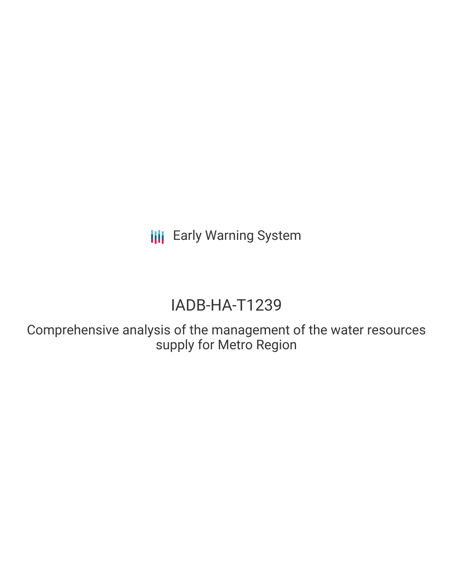**III** Early Warning System

# IADB-HA-T1239

Comprehensive analysis of the management of the water resources supply for Metro Region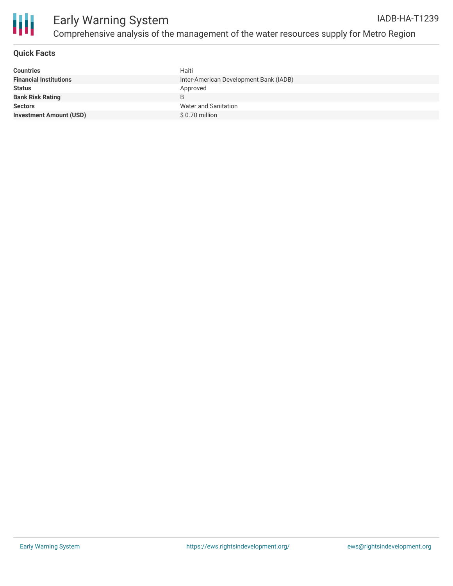

# **Quick Facts**

| <b>Countries</b>               | Haiti                                  |
|--------------------------------|----------------------------------------|
| <b>Financial Institutions</b>  | Inter-American Development Bank (IADB) |
| <b>Status</b>                  | Approved                               |
| <b>Bank Risk Rating</b>        |                                        |
| <b>Sectors</b>                 | Water and Sanitation                   |
| <b>Investment Amount (USD)</b> | $$0.70$ million                        |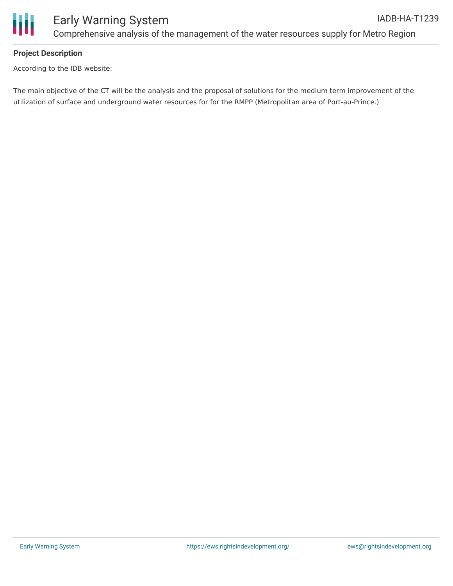

# **Project Description**

According to the IDB website:

The main objective of the CT will be the analysis and the proposal of solutions for the medium term improvement of the utilization of surface and underground water resources for for the RMPP (Metropolitan area of Port-au-Prince.)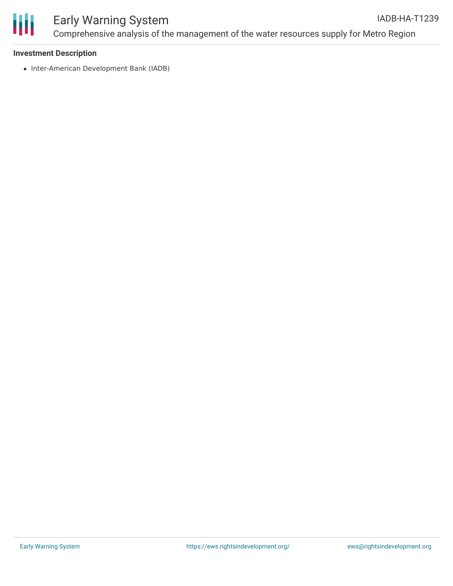

#### Early Warning System Comprehensive analysis of the management of the water resources supply for Metro Region IADB-HA-T1239

## **Investment Description**

• Inter-American Development Bank (IADB)